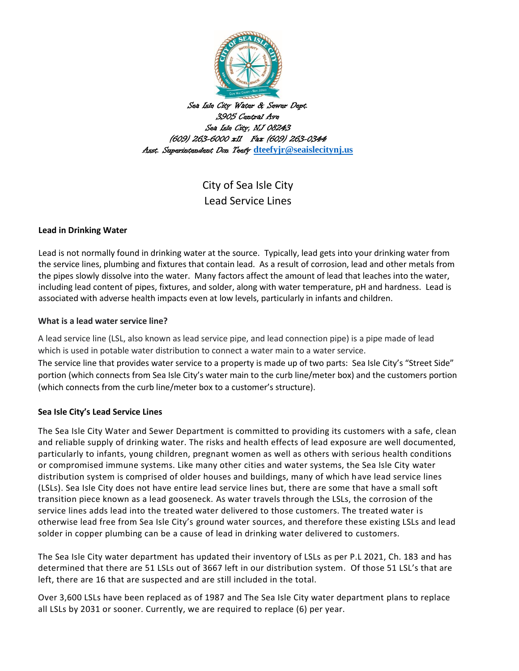

# City of Sea Isle City Lead Service Lines

# **Lead in Drinking Water**

Lead is not normally found in drinking water at the source. Typically, lead gets into your drinking water from the service lines, plumbing and fixtures that contain lead. As a result of corrosion, lead and other metals from the pipes slowly dissolve into the water. Many factors affect the amount of lead that leaches into the water, including lead content of pipes, fixtures, and solder, along with water temperature, pH and hardness. Lead is associated with adverse health impacts even at low levels, particularly in infants and children.

# **What is a lead water service line?**

A lead service line (LSL, also known as lead service pipe, and lead connection pipe) is a pipe made of lead which is used in potable water distribution to connect a water main to a water service. The service line that provides water service to a property is made up of two parts: Sea Isle City's "Street Side" portion (which connects from Sea Isle City's water main to the curb line/meter box) and the customers portion (which connects from the curb line/meter box to a customer's structure).

### **Sea Isle City's Lead Service Lines**

The Sea Isle City Water and Sewer Department is committed to providing its customers with a safe, clean and reliable supply of drinking water. The risks and health effects of lead exposure are well documented, particularly to infants, young children, pregnant women as well as others with serious health conditions or compromised immune systems. Like many other cities and water systems, the Sea Isle City water distribution system is comprised of older houses and buildings, many of which have lead service lines (LSLs). Sea Isle City does not have entire lead service lines but, there are some that have a small soft transition piece known as a lead gooseneck. As water travels through the LSLs, the corrosion of the service lines adds lead into the treated water delivered to those customers. The treated water is otherwise lead free from Sea Isle City's ground water sources, and therefore these existing LSLs and lead solder in copper plumbing can be a cause of lead in drinking water delivered to customers.

The Sea Isle City water department has updated their inventory of LSLs as per P.L 2021, Ch. 183 and has determined that there are 51 LSLs out of 3667 left in our distribution system. Of those 51 LSL's that are left, there are 16 that are suspected and are still included in the total.

Over 3,600 LSLs have been replaced as of 1987 and The Sea Isle City water department plans to replace all LSLs by 2031 or sooner. Currently, we are required to replace (6) per year.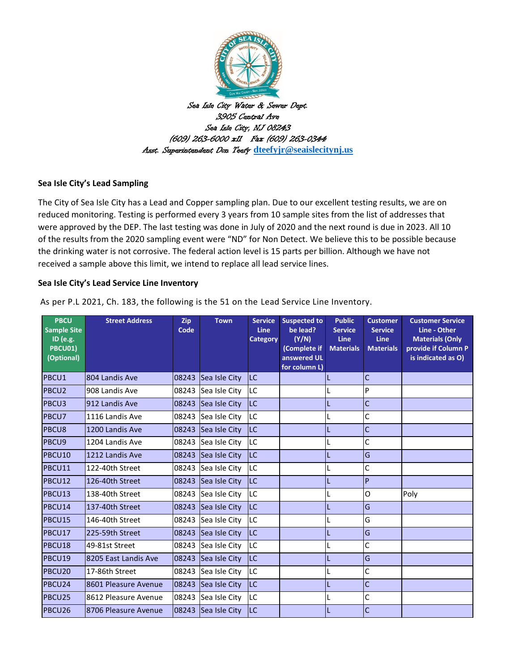

### **Sea Isle City's Lead Sampling**

The City of Sea Isle City has a Lead and Copper sampling plan. Due to our excellent testing results, we are on reduced monitoring. Testing is performed every 3 years from 10 sample sites from the list of addresses that were approved by the DEP. The last testing was done in July of 2020 and the next round is due in 2023. All 10 of the results from the 2020 sampling event were "ND" for Non Detect. We believe this to be possible because the drinking water is not corrosive. The federal action level is 15 parts per billion. Although we have not received a sample above this limit, we intend to replace all lead service lines.

#### **Sea Isle City's Lead Service Line Inventory**

| <b>PBCU</b><br><b>Sample Site</b><br>ID (e.g.<br><b>PBCU01)</b><br>(Optional) | <b>Street Address</b> | Zip<br>Code | <b>Town</b>         | <b>Service</b><br><b>Line</b><br><b>Category</b> | <b>Suspected to</b><br>be lead?<br>(Y/N)<br>(Complete if<br>answered UL<br>for column L) | <b>Public</b><br><b>Service</b><br><b>Line</b><br><b>Materials</b> | <b>Customer</b><br><b>Service</b><br><b>Line</b><br><b>Materials</b> | <b>Customer Service</b><br>Line - Other<br><b>Materials (Only</b><br>provide if Column P<br>is indicated as O) |
|-------------------------------------------------------------------------------|-----------------------|-------------|---------------------|--------------------------------------------------|------------------------------------------------------------------------------------------|--------------------------------------------------------------------|----------------------------------------------------------------------|----------------------------------------------------------------------------------------------------------------|
| <b>PBCU1</b>                                                                  | 804 Landis Ave        | 08243       | Sea Isle City       | <b>LC</b>                                        |                                                                                          | L                                                                  | C                                                                    |                                                                                                                |
| <b>PBCU2</b>                                                                  | 908 Landis Ave        | 08243       | Sea Isle City       | LC                                               |                                                                                          |                                                                    | P                                                                    |                                                                                                                |
| <b>PBCU3</b>                                                                  | 912 Landis Ave        | 08243       | Sea Isle City       | <b>LC</b>                                        |                                                                                          |                                                                    | Ċ                                                                    |                                                                                                                |
| <b>PBCU7</b>                                                                  | 1116 Landis Ave       | 08243       | Sea Isle City       | LC                                               |                                                                                          |                                                                    | C                                                                    |                                                                                                                |
| <b>PBCU8</b>                                                                  | 1200 Landis Ave       | 08243       | Sea Isle City       | <b>ILC</b>                                       |                                                                                          | L                                                                  | Ċ                                                                    |                                                                                                                |
| <b>PBCU9</b>                                                                  | 1204 Landis Ave       | 08243       | Sea Isle City       | LC                                               |                                                                                          |                                                                    | C                                                                    |                                                                                                                |
| PBCU10                                                                        | 1212 Landis Ave       | 08243       | Sea Isle City       | <b>LC</b>                                        |                                                                                          | L                                                                  | Ġ                                                                    |                                                                                                                |
| PBCU11                                                                        | 122-40th Street       | 08243       | Sea Isle City       | LC                                               |                                                                                          |                                                                    | C                                                                    |                                                                                                                |
| PBCU12                                                                        | 126-40th Street       | 08243       | Sea Isle City       | <b>LC</b>                                        |                                                                                          | L                                                                  | P                                                                    |                                                                                                                |
| PBCU13                                                                        | 138-40th Street       | 08243       | Sea Isle City       | LC                                               |                                                                                          | L                                                                  | $\Omega$                                                             | Poly                                                                                                           |
| PBCU14                                                                        | 137-40th Street       | 08243       | Sea Isle City       | <b>LC</b>                                        |                                                                                          |                                                                    | Ġ                                                                    |                                                                                                                |
| PBCU15                                                                        | 146-40th Street       | 08243       | Sea Isle City       | LC                                               |                                                                                          |                                                                    | G                                                                    |                                                                                                                |
| PBCU17                                                                        | 225-59th Street       | 08243       | Sea Isle City       | <b>LC</b>                                        |                                                                                          | L                                                                  | G                                                                    |                                                                                                                |
| PBCU18                                                                        | 49-81st Street        | 08243       | Sea Isle City       | LC                                               |                                                                                          | L                                                                  | C                                                                    |                                                                                                                |
| <b>PBCU19</b>                                                                 | 8205 East Landis Ave  | 08243       | Sea Isle City       | <b>LC</b>                                        |                                                                                          | L                                                                  | G                                                                    |                                                                                                                |
| PBCU <sub>20</sub>                                                            | 17-86th Street        | 08243       | Sea Isle City       | LC                                               |                                                                                          | L                                                                  | C                                                                    |                                                                                                                |
| PBCU24                                                                        | 8601 Pleasure Avenue  | 08243       | Sea Isle City       | <b>LC</b>                                        |                                                                                          |                                                                    | C                                                                    |                                                                                                                |
| PBCU25                                                                        | 8612 Pleasure Avenue  | 08243       | Sea Isle City       | LC                                               |                                                                                          |                                                                    | C                                                                    |                                                                                                                |
| PBCU26                                                                        | 8706 Pleasure Avenue  |             | 08243 Sea Isle City | <b>ILC</b>                                       |                                                                                          | L                                                                  | Ċ                                                                    |                                                                                                                |

As per P.L 2021, Ch. 183, the following is the 51 on the Lead Service Line Inventory.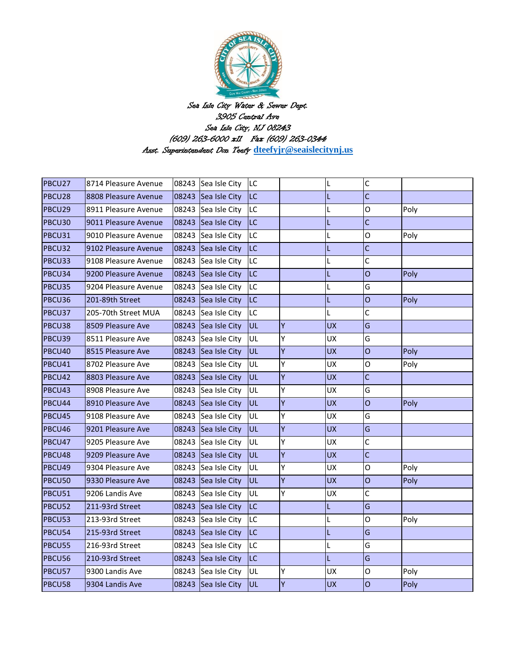

| PBCU27        | 8714 Pleasure Avenue |       | 08243 Sea Isle City | LC         |   | L         | $\mathsf{C}$   |      |
|---------------|----------------------|-------|---------------------|------------|---|-----------|----------------|------|
| PBCU28        | 8808 Pleasure Avenue |       | 08243 Sea Isle City | <b>ILC</b> |   | L         | $\mathsf{C}$   |      |
| PBCU29        | 8911 Pleasure Avenue |       | 08243 Sea Isle City | <b>LC</b>  |   | L         | $\mathsf O$    | Poly |
| <b>PBCU30</b> | 9011 Pleasure Avenue | 08243 | Sea Isle City       | <b>LC</b>  |   | L         | $\mathsf{C}$   |      |
| PBCU31        | 9010 Pleasure Avenue | 08243 | Sea Isle City       | <b>LC</b>  |   | Г         | O              | Poly |
| PBCU32        | 9102 Pleasure Avenue |       | 08243 Sea Isle City | <b>ILC</b> |   | L         | $\mathsf{C}$   |      |
| <b>PBCU33</b> | 9108 Pleasure Avenue | 08243 | Sea Isle City       | <b>LC</b>  |   | L         | C              |      |
| PBCU34        | 9200 Pleasure Avenue |       | 08243 Sea Isle City | <b>ILC</b> |   | L         | $\circ$        | Poly |
| PBCU35        | 9204 Pleasure Avenue |       | 08243 Sea Isle City | <b>LC</b>  |   | L         | G              |      |
| PBCU36        | 201-89th Street      |       | 08243 Sea Isle City | ILC.       |   | L         | $\overline{O}$ | Poly |
| PBCU37        | 205-70th Street MUA  | 08243 | Sea Isle City       | <b>LC</b>  |   | Г         | $\mathsf C$    |      |
| <b>PBCU38</b> | 8509 Pleasure Ave    |       | 08243 Sea Isle City | <b>UL</b>  | Y | UX        | G              |      |
| PBCU39        | 8511 Pleasure Ave    |       | 08243 Sea Isle City | UL         | Υ | UX.       | G              |      |
| PBCU40        | 8515 Pleasure Ave    |       | 08243 Sea Isle City | <b>UL</b>  | Y | <b>UX</b> | $\circ$        | Poly |
| PBCU41        | 8702 Pleasure Ave    |       | 08243 Sea Isle City | UL         | Υ | UX        | $\mathsf O$    | Poly |
| PBCU42        | 8803 Pleasure Ave    |       | 08243 Sea Isle City | <b>UL</b>  | Υ | <b>UX</b> | $\mathsf{C}$   |      |
| PBCU43        | 8908 Pleasure Ave    | 08243 | Sea Isle City       | UL         | Y | UX        | G              |      |
| PBCU44        | 8910 Pleasure Ave    |       | 08243 Sea Isle City | <b>UL</b>  | Y | UX        | $\overline{O}$ | Poly |
| PBCU45        | 9108 Pleasure Ave    |       | 08243 Sea Isle City | UL         | Υ | UX.       | G              |      |
| PBCU46        | 9201 Pleasure Ave    |       | 08243 Sea Isle City | UL.        | Y | <b>UX</b> | G              |      |
| PBCU47        | 9205 Pleasure Ave    |       | 08243 Sea Isle City | UL         | Υ | UX        | $\mathsf{C}$   |      |
| PBCU48        | 9209 Pleasure Ave    |       | 08243 Sea Isle City | <b>UL</b>  | Y | <b>UX</b> | $\mathsf{C}$   |      |
| PBCU49        | 9304 Pleasure Ave    | 08243 | Sea Isle City       | UL         | Υ | UX        | 0              | Poly |
| <b>PBCU50</b> | 9330 Pleasure Ave    |       | 08243 Sea Isle City | <b>UL</b>  | Ÿ | <b>UX</b> | $\overline{O}$ | Poly |
| PBCU51        | 9206 Landis Ave      |       | 08243 Sea Isle City | UL         | Υ | UX        | С              |      |
| PBCU52        | 211-93rd Street      |       | 08243 Sea Isle City | <b>ILC</b> |   | L.        | G              |      |
| PBCU53        | 213-93rd Street      |       | 08243 Sea Isle City | LC         |   | L         | $\mathsf O$    | Poly |
| PBCU54        | 215-93rd Street      |       | 08243 Sea Isle City | <b>LC</b>  |   | L         | G              |      |
| <b>PBCU55</b> | 216-93rd Street      | 08243 | Sea Isle City       | <b>LC</b>  |   | L         | G              |      |
| <b>PBCU56</b> | 210-93rd Street      |       | 08243 Sea Isle City | <b>LC</b>  |   | L.        | G              |      |
| <b>PBCU57</b> | 9300 Landis Ave      |       | 08243 Sea Isle City | UL         | Υ | UX.       | O              | Poly |
| PBCU58        | 9304 Landis Ave      |       | 08243 Sea Isle City | <b>UL</b>  | Ÿ | <b>UX</b> | $\Omega$       | Poly |